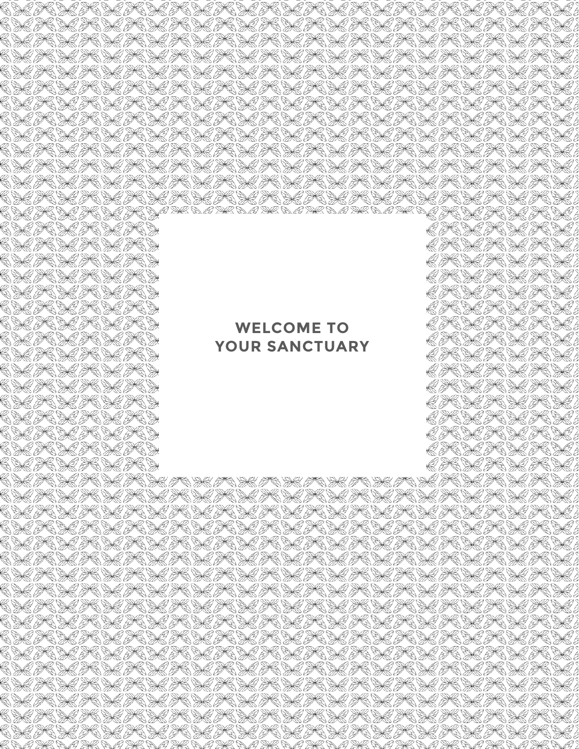# **WELCOME TO YOUR SANCTUARY**

CHE PCHE PCHE PCHE TO HE TO HE TO HE TO HE TO HE TO HE PCHE PCHE FCHE CHE TO HE TO HE TO HE TO HE TO HE TO HE TO HE TO HE TO HE TO HE TO CKICK KARKICKICKICKARKARKA KARKICKICKICKI CARK ARK ARKA KARKARKARARA KARA KARAKARA CHE TO HE TO HE TO HE TO HE TO HE TO HE TO HE TO HE TO HE TO HE TO HE CAR KAR ACACAR A SEARARA KARA KARA KARA KARA KA CAR PCAR ACACARARARA PCARARARA PCARARARARARA. CAPCAR RARBO CAPCARA POARARA PORA POARARA POSA CARK ARK ARKA KARKARKARARA KARA KARKARKA CALICALLE SE ALICALICALI CALICALICALI CALICALI CALICALI CALI CARKAR ACARARARARARARARARARARARARARARARA C HA HC HA HC HA HC HA HC HA HC HA HC HA HC HA HC HA HC HA HC HA

A SE DA SE DA SE D

IS SEIS SEIS SE

BC DE BC DE BC DE .

E THE SETHE SETHERE. TRACTORACTORA

E THE HE THE HE HE .

RIK DRIK DRIK DRI

G THE DE THE DE THE DIE

RI SE SE SE SE SE SE E TE KE KE TE KU

O THE DO THE DO THE DO

LICHEICHE PROS

RICHA SCHACH HA

RICHEICHEN

RICHEICHEN

A SHE DA SHE DA SHE D

O R DO R DO R C E R SE SE SE SE SE

C DI THE DIE THE DIE D

C DI THE DI THE DIE DE

CDC TCDC TCDCD CDC TCDC TCDC TC

CDC TCDC TCDCD

CDC TCDC TCDCD

CSC TCSC TCSC TCS

C DI IC DI IC DI IC D

C DE PC DE PC DE PC : C DI THE DIE THE DIE D

C SC PC SC PC SC PC

LA ALA ALA

A SHEBA SHEBA SHEB

CSC TCSC TCSC TCSL

C DI TC DI TC DI TC DI

C DIE THE DIE THE THE C DI TC DI TC DI TC

C DE TC DE TC DE TC

CHE TO HE TO HE TO HE TO HE TO HE TO HE TO HE TO HE TO HE TO HE TO HE CHE TO HE TO HE TO HE TO HE TO HE TO HE TO HE TO HE TO HE TO HE TO HE CAR KAR ACARARARA KARARARA KARARARARAKA KA CARCARA KARACARARARA KARACHA KARACARARAKA CALICALICA CALICALICALICALI CALICALICALICALI CALICALICALICALI CAR KAR KARARARA KARA KARARARARARARA KA KA CARCARARARA KARARARARARAKARARARARARA CAR PCAR AR AR AR PCARA PCARA RARA PCARA PCARA PCARA CAI KAICAI CAICAI KAICAI CAICAI KAICAI CAICAI CAICAI KAICA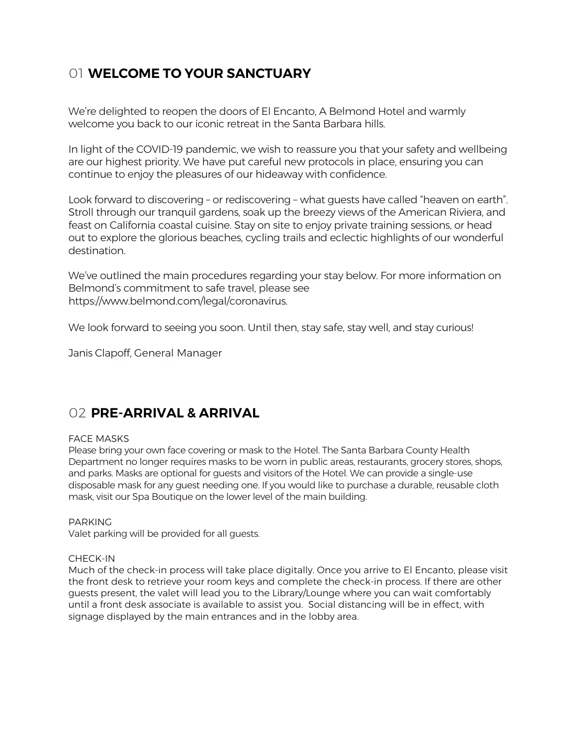# 01 **WELCOME TO YOUR SANCTUARY**

We're delighted to reopen the doors of El Encanto, A Belmond Hotel and warmly welcome you back to our iconic retreat in the Santa Barbara hills.

In light of the COVID-19 pandemic, we wish to reassure you that your safety and wellbeing are our highest priority. We have put careful new protocols in place, ensuring you can continue to enjoy the pleasures of our hideaway with confidence.

Look forward to discovering – or rediscovering – what guests have called "heaven on earth". Stroll through our tranquil gardens, soak up the breezy views of the American Riviera, and feast on California coastal cuisine. Stay on site to enjoy private training sessions, or head out to explore the glorious beaches, cycling trails and eclectic highlights of our wonderful destination.

We've outlined the main procedures regarding your stay below. For more information on Belmond's commitment to safe travel, please see https://www.belmond.com/legal/coronavirus.

We look forward to seeing you soon. Until then, stay safe, stay well, and stay curious!

Janis Clapoff, General Manager

### 02 **PRE-ARRIVAL & ARRIVAL**

#### FACE MASKS

Please bring your own face covering or mask to the Hotel. The Santa Barbara County Health Department no longer requires masks to be worn in public areas, restaurants, grocery stores, shops, and parks. Masks are optional for guests and visitors of the Hotel. We can provide a single-use disposable mask for any guest needing one. If you would like to purchase a durable, reusable cloth mask, visit our Spa Boutique on the lower level of the main building.

PARKING Valet parking will be provided for all guests.

#### CHECK-IN

Much of the check-in process will take place digitally. Once you arrive to El Encanto, please visit the front desk to retrieve your room keys and complete the check-in process. If there are other guests present, the valet will lead you to the Library/Lounge where you can wait comfortably until a front desk associate is available to assist you. Social distancing will be in effect, with signage displayed by the main entrances and in the lobby area.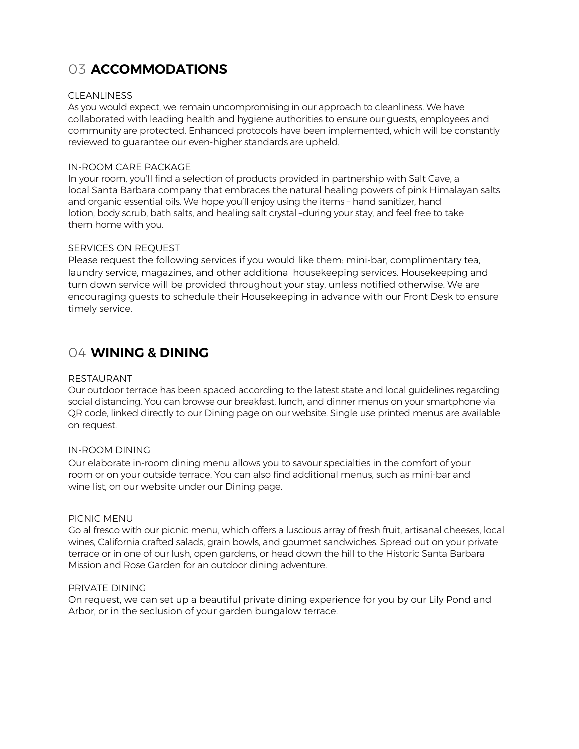# 03 **ACCOMMODATIONS**

#### CLEANLINESS

As you would expect, we remain uncompromising in our approach to cleanliness. We have collaborated with leading health and hygiene authorities to ensure our guests, employees and community are protected. Enhanced protocols have been implemented, which will be constantly reviewed to guarantee our even-higher standards are upheld.

#### IN-ROOM CARE PACKAGE

In your room, you'll find a selection of products provided in partnership with Salt Cave, a local Santa Barbara company that embraces the natural healing powers of pink Himalayan salts and organic essential oils. We hope you'll enjoy using the items – hand sanitizer, hand lotion, body scrub, bath salts, and healing salt crystal –during your stay, and feel free to take them home with you.

#### SERVICES ON REQUEST

Please request the following services if you would like them: mini-bar, complimentary tea, laundry service, magazines, and other additional housekeeping services. Housekeeping and turn down service will be provided throughout your stay, unless notified otherwise. We are encouraging guests to schedule their Housekeeping in advance with our Front Desk to ensure timely service.

### 04 **WINING & DINING**

#### RESTAURANT

Our outdoor terrace has been spaced according to the latest state and local guidelines regarding social distancing. You can browse our breakfast, lunch, and dinner menus on your smartphone via QR code, linked directly to our Dining page on our website. Single use printed menus are available on request.

#### IN-ROOM DINING

Our elaborate in-room dining menu allows you to savour specialties in the comfort of your room or on your outside terrace. You can also find additional menus, such as mini-bar and wine list, on our website under our Dining page.

#### PICNIC MENU

Go al fresco with our picnic menu, which offers a luscious array of fresh fruit, artisanal cheeses, local wines, California crafted salads, grain bowls, and gourmet sandwiches. Spread out on your private terrace or in one of our lush, open gardens, or head down the hill to the Historic Santa Barbara Mission and Rose Garden for an outdoor dining adventure.

#### PRIVATE DINING

On request, we can set up a beautiful private dining experience for you by our Lily Pond and Arbor, or in the seclusion of your garden bungalow terrace.